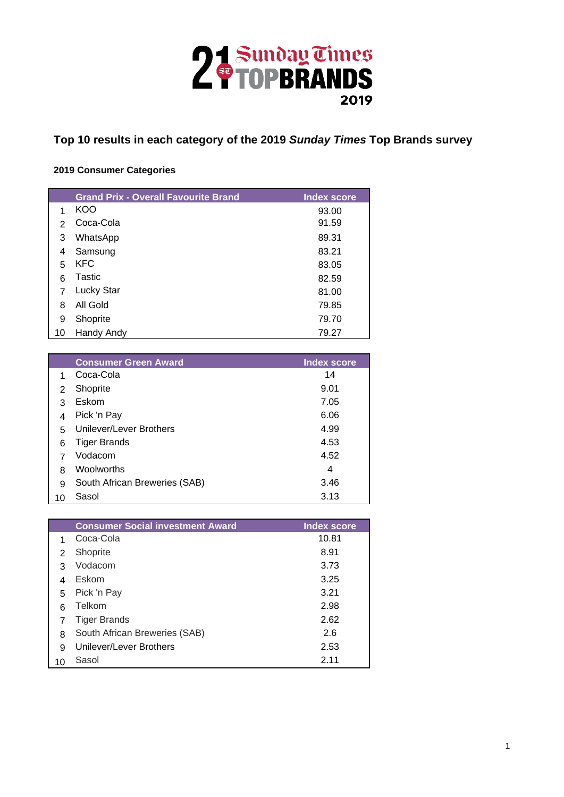

**Top 10 results in each category of the 2019** *Sunday Times* **Top Brands survey**

## **2019 Consumer Categories**

|    | <b>Grand Prix - Overall Favourite Brand</b> | <b>Index score</b> |
|----|---------------------------------------------|--------------------|
|    | KOO                                         | 93.00              |
| 2  | Coca-Cola                                   | 91.59              |
| 3  | WhatsApp                                    | 89.31              |
| 4  | Samsung                                     | 83.21              |
| 5  | <b>KFC</b>                                  | 83.05              |
| 6  | Tastic                                      | 82.59              |
|    | <b>Lucky Star</b>                           | 81.00              |
| 8  | All Gold                                    | 79.85              |
| 9  | Shoprite                                    | 79.70              |
| 10 | Handy Andy                                  | 79.27              |

|    | <b>Consumer Green Award</b>   | <b>Index score</b> |
|----|-------------------------------|--------------------|
|    | Coca-Cola                     | 14                 |
| 2  | Shoprite                      | 9.01               |
| 3  | Eskom                         | 7.05               |
| 4  | Pick 'n Pay                   | 6.06               |
| 5  | Unilever/Lever Brothers       | 4.99               |
| 6  | <b>Tiger Brands</b>           | 4.53               |
|    | Vodacom                       | 4.52               |
| 8  | Woolworths                    | 4                  |
| 9  | South African Breweries (SAB) | 3.46               |
| 10 | Sasol                         | 3.13               |

|    | <b>Consumer Social investment Award</b> | <b>Index score</b> |
|----|-----------------------------------------|--------------------|
|    | Coca-Cola                               | 10.81              |
| 2  | Shoprite                                | 8.91               |
| з  | Vodacom                                 | 3.73               |
| 4  | Eskom                                   | 3.25               |
| 5  | Pick 'n Pay                             | 3.21               |
| 6  | Telkom                                  | 2.98               |
|    | <b>Tiger Brands</b>                     | 2.62               |
| 8  | South African Breweries (SAB)           | 2.6                |
| 9  | Unilever/Lever Brothers                 | 2.53               |
| 10 | Sasol                                   | 2.11               |
|    |                                         |                    |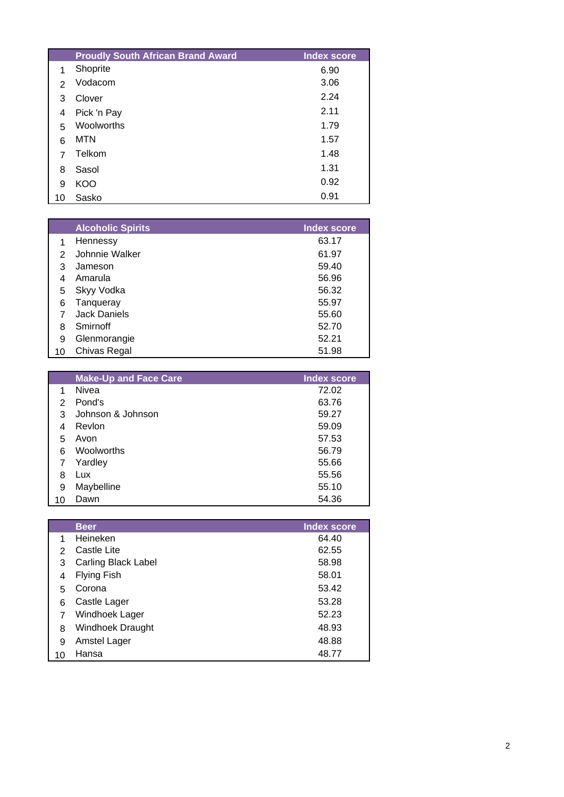|               | <b>Proudly South African Brand Award</b> | <b>Index score</b> |
|---------------|------------------------------------------|--------------------|
| 1             | Shoprite                                 | 6.90               |
| $\mathcal{P}$ | Vodacom                                  | 3.06               |
| 3             | Clover                                   | 2.24               |
| 4             | Pick 'n Pay                              | 2.11               |
| 5             | Woolworths                               | 1.79               |
| 6             | <b>MTN</b>                               | 1.57               |
| 7             | Telkom                                   | 1.48               |
| 8             | Sasol                                    | 1.31               |
| 9             | KOO                                      | 0.92               |
| 10            | Sasko                                    | 0.91               |

|    | <b>Alcoholic Spirits</b> | <b>Index score</b> |
|----|--------------------------|--------------------|
|    | Hennessy                 | 63.17              |
| 2  | Johnnie Walker           | 61.97              |
| 3  | Jameson                  | 59.40              |
| 4  | Amarula                  | 56.96              |
| 5  | Skyy Vodka               | 56.32              |
| 6  | Tanqueray                | 55.97              |
|    | <b>Jack Daniels</b>      | 55.60              |
| 8  | Smirnoff                 | 52.70              |
| 9  | Glenmorangie             | 52.21              |
| 10 | Chivas Regal             | 51.98              |

|    | <b>Make-Up and Face Care</b> | <b>Index score</b> |
|----|------------------------------|--------------------|
| 1  | Nivea                        | 72.02              |
| 2  | Pond's                       | 63.76              |
| 3  | Johnson & Johnson            | 59.27              |
| 4  | Revlon                       | 59.09              |
| 5  | Avon                         | 57.53              |
| 6  | Woolworths                   | 56.79              |
|    | Yardley                      | 55.66              |
| 8  | Lux                          | 55.56              |
| 9  | Maybelline                   | 55.10              |
| 10 | Dawn                         | 54.36              |

|               | <b>Beer</b>             | <b>Index score</b> |
|---------------|-------------------------|--------------------|
|               | Heineken                | 64.40              |
| $\mathcal{P}$ | Castle Lite             | 62.55              |
| 3             | Carling Black Label     | 58.98              |
| 4             | <b>Flying Fish</b>      | 58.01              |
| 5             | Corona                  | 53.42              |
| 6             | Castle Lager            | 53.28              |
|               | Windhoek Lager          | 52.23              |
| 8             | <b>Windhoek Draught</b> | 48.93              |
| 9             | <b>Amstel Lager</b>     | 48.88              |
| 10            | Hansa                   | 48.77              |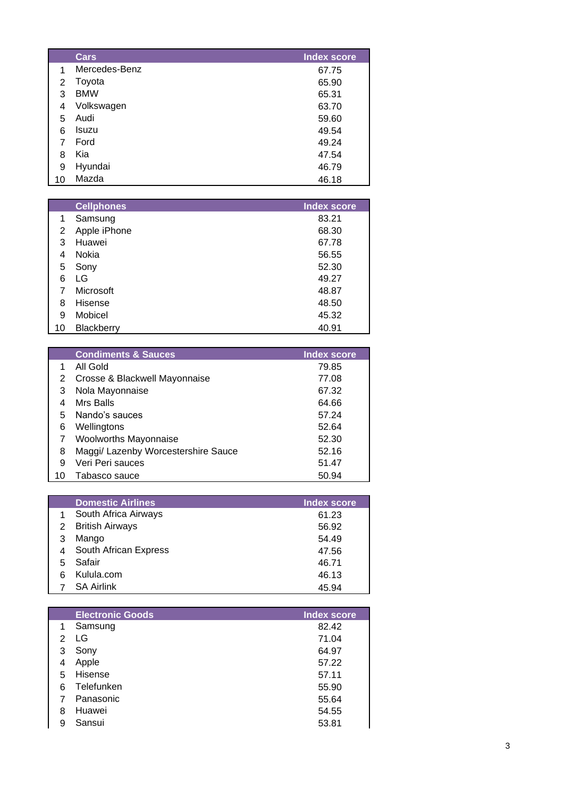|    | <b>Cars</b>   | <b>Index score</b> |
|----|---------------|--------------------|
| 1  | Mercedes-Benz | 67.75              |
| 2  | Toyota        | 65.90              |
| 3  | <b>BMW</b>    | 65.31              |
| 4  | Volkswagen    | 63.70              |
| 5  | Audi          | 59.60              |
| 6  | Isuzu         | 49.54              |
| 7  | Ford          | 49.24              |
| 8  | Kia           | 47.54              |
| 9  | Hyundai       | 46.79              |
| 10 | Mazda         | 46.18              |

|    | <b>Cellphones</b> | <b>Index score</b> |
|----|-------------------|--------------------|
| 1  | Samsung           | 83.21              |
| 2  | Apple iPhone      | 68.30              |
| 3  | Huawei            | 67.78              |
| 4  | Nokia             | 56.55              |
| 5  | Sony              | 52.30              |
| 6  | LG                | 49.27              |
|    | Microsoft         | 48.87              |
| 8  | <b>Hisense</b>    | 48.50              |
| 9  | Mobicel           | 45.32              |
| 10 | <b>Blackberry</b> | 40.91              |

|    | <b>Condiments &amp; Sauces</b>      | <b>Index score</b> |
|----|-------------------------------------|--------------------|
|    | All Gold                            | 79.85              |
|    | Crosse & Blackwell Mayonnaise       | 77.08              |
| 3  | Nola Mayonnaise                     | 67.32              |
|    | Mrs Balls                           | 64.66              |
| 5  | Nando's sauces                      | 57.24              |
| 6  | Wellingtons                         | 52.64              |
|    | <b>Woolworths Mayonnaise</b>        | 52.30              |
| 8  | Maggi/ Lazenby Worcestershire Sauce | 52.16              |
| 9  | Veri Peri sauces                    | 51.47              |
| 10 | Tabasco sauce                       | 50.94              |

|   | <b>Domestic Airlines</b> | <b>Index score</b> |
|---|--------------------------|--------------------|
| 1 | South Africa Airways     | 61.23              |
| 2 | <b>British Airways</b>   | 56.92              |
| З | Mango                    | 54.49              |
|   | South African Express    | 47.56              |
|   | Safair                   | 46.71              |
|   | Kulula.com               | 46.13              |
|   | <b>SA Airlink</b>        | 45.94              |

|   | <b>Electronic Goods</b> | <b>Index score</b> |
|---|-------------------------|--------------------|
| 1 | Samsung                 | 82.42              |
| 2 | LG                      | 71.04              |
| 3 | Sony                    | 64.97              |
| 4 | Apple                   | 57.22              |
| 5 | Hisense                 | 57.11              |
| 6 | Telefunken              | 55.90              |
|   | Panasonic               | 55.64              |
| 8 | Huawei                  | 54.55              |
| 9 | Sansui                  | 53.81              |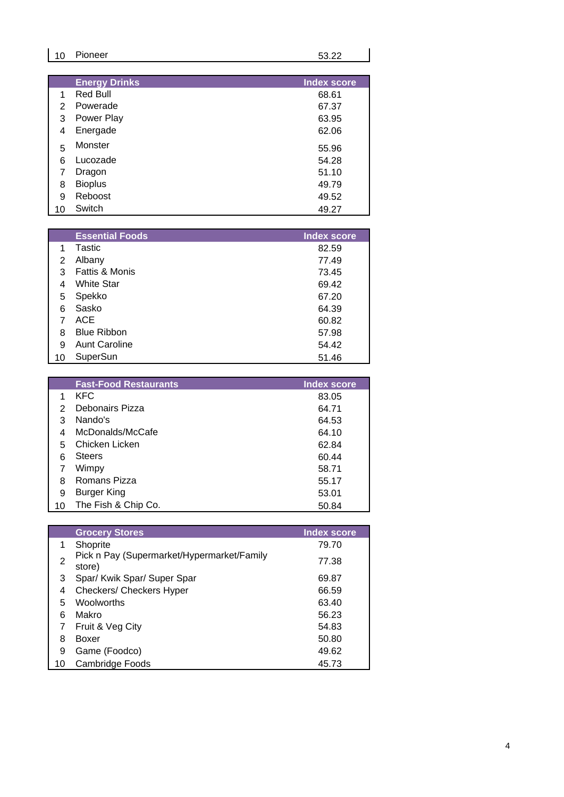| 10 | Pioneer              | 53.22       |
|----|----------------------|-------------|
|    |                      |             |
|    |                      |             |
|    | <b>Energy Drinks</b> | Index score |

|               | .              | <b>UU.U</b> I |
|---------------|----------------|---------------|
| $\mathcal{P}$ | Powerade       | 67.37         |
| 3             | Power Play     | 63.95         |
| 4             | Energade       | 62.06         |
| 5             | Monster        | 55.96         |
| 6             | Lucozade       | 54.28         |
| 7             | Dragon         | 51.10         |
| 8             | <b>Bioplus</b> | 49.79         |
| 9             | Reboost        | 49.52         |
| 10            | Switch         | 49.27         |
|               |                |               |

|    | <b>Essential Foods</b> | <b>Index score</b> |
|----|------------------------|--------------------|
|    | Tastic                 | 82.59              |
| 2  | Albany                 | 77.49              |
| 3  | Fattis & Monis         | 73.45              |
| 4  | <b>White Star</b>      | 69.42              |
| 5  | Spekko                 | 67.20              |
| 6  | Sasko                  | 64.39              |
|    | ACE                    | 60.82              |
| 8  | <b>Blue Ribbon</b>     | 57.98              |
| 9  | <b>Aunt Caroline</b>   | 54.42              |
| 10 | SuperSun               | 51.46              |

|    | <b>Fast-Food Restaurants</b> | <b>Index score</b> |
|----|------------------------------|--------------------|
|    | <b>KFC</b>                   | 83.05              |
|    | Debonairs Pizza              | 64.71              |
| 3  | Nando's                      | 64.53              |
| 4  | McDonalds/McCafe             | 64.10              |
| 5  | Chicken Licken               | 62.84              |
| 6  | <b>Steers</b>                | 60.44              |
|    | Wimpy                        | 58.71              |
| 8  | Romans Pizza                 | 55.17              |
| 9  | <b>Burger King</b>           | 53.01              |
| 10 | The Fish & Chip Co.          | 50.84              |

|    | <b>Grocery Stores</b>                                | <b>Index score</b> |
|----|------------------------------------------------------|--------------------|
| 1  | Shoprite                                             | 79.70              |
| 2  | Pick n Pay (Supermarket/Hypermarket/Family<br>store) | 77.38              |
| 3  | Spar/ Kwik Spar/ Super Spar                          | 69.87              |
| 4  | Checkers/ Checkers Hyper                             | 66.59              |
| 5  | <b>Woolworths</b>                                    | 63.40              |
| 6  | Makro                                                | 56.23              |
|    | Fruit & Veg City                                     | 54.83              |
| 8  | Boxer                                                | 50.80              |
| 9  | Game (Foodco)                                        | 49.62              |
| 10 | Cambridge Foods                                      | 45.73              |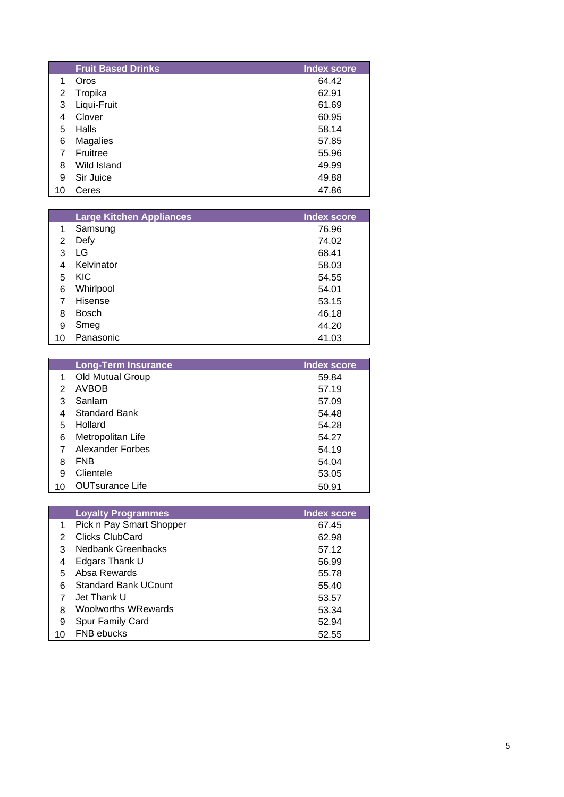|    | <b>Fruit Based Drinks</b> | <b>Index score</b> |
|----|---------------------------|--------------------|
| 1  | Oros                      | 64.42              |
| 2  | Tropika                   | 62.91              |
| 3  | Liqui-Fruit               | 61.69              |
| 4  | Clover                    | 60.95              |
| 5  | Halls                     | 58.14              |
| 6  | Magalies                  | 57.85              |
| 7  | Fruitree                  | 55.96              |
| 8  | Wild Island               | 49.99              |
| 9  | Sir Juice                 | 49.88              |
| 10 | Ceres                     | 47.86              |

|    | <b>Large Kitchen Appliances</b> | <b>Index score</b> |
|----|---------------------------------|--------------------|
| 1  | Samsung                         | 76.96              |
| 2  | Defy                            | 74.02              |
| 3  | LG                              | 68.41              |
| 4  | Kelvinator                      | 58.03              |
| 5  | <b>KIC</b>                      | 54.55              |
| 6  | Whirlpool                       | 54.01              |
|    | <b>Hisense</b>                  | 53.15              |
| 8  | <b>Bosch</b>                    | 46.18              |
| 9  | Smeg                            | 44.20              |
| 10 | Panasonic                       | 41.03              |

|    | <b>Long-Term Insurance</b> | <b>Index score</b> |
|----|----------------------------|--------------------|
| 1  | Old Mutual Group           | 59.84              |
| 2  | <b>AVBOB</b>               | 57.19              |
| 3  | Sanlam                     | 57.09              |
| 4  | <b>Standard Bank</b>       | 54.48              |
| 5  | Hollard                    | 54.28              |
| 6  | Metropolitan Life          | 54.27              |
|    | Alexander Forbes           | 54.19              |
| 8  | <b>FNB</b>                 | 54.04              |
| 9  | Clientele                  | 53.05              |
| 10 | <b>OUTsurance Life</b>     | 50.91              |

|    | <b>Loyalty Programmes</b>   | <b>Index score</b> |
|----|-----------------------------|--------------------|
| 1. | Pick n Pay Smart Shopper    | 67.45              |
|    | <b>Clicks ClubCard</b>      | 62.98              |
| 3  | <b>Nedbank Greenbacks</b>   | 57.12              |
| 4  | Edgars Thank U              | 56.99              |
| 5  | Absa Rewards                | 55.78              |
| 6  | <b>Standard Bank UCount</b> | 55.40              |
|    | Jet Thank U                 | 53.57              |
| 8  | <b>Woolworths WRewards</b>  | 53.34              |
| 9  | Spur Family Card            | 52.94              |
| 10 | <b>FNB</b> ebucks           | 52.55              |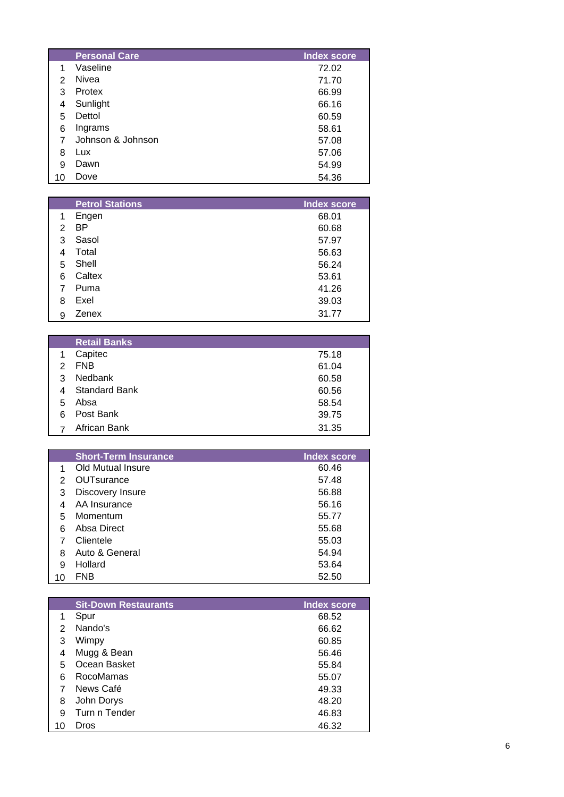|    | <b>Personal Care</b> | <b>Index score</b> |
|----|----------------------|--------------------|
|    | Vaseline             | 72.02              |
| 2  | Nivea                | 71.70              |
| 3  | Protex               | 66.99              |
| 4  | Sunlight             | 66.16              |
| 5  | Dettol               | 60.59              |
| 6  | Ingrams              | 58.61              |
|    | Johnson & Johnson    | 57.08              |
| 8  | Lux                  | 57.06              |
| 9  | Dawn                 | 54.99              |
| 10 | Dove                 | 54.36              |

|    | <b>Petrol Stations</b> | <b>Index score</b> |
|----|------------------------|--------------------|
| 1  | Engen                  | 68.01              |
| 2  | <b>BP</b>              | 60.68              |
| 3  | Sasol                  | 57.97              |
| 4  | Total                  | 56.63              |
| 5. | Shell                  | 56.24              |
| 6  | Caltex                 | 53.61              |
|    | Puma                   | 41.26              |
| 8  | Exel                   | 39.03              |
| 9  | Zenex                  | 31.77              |
|    |                        |                    |

|               | <b>Retail Banks</b>  |       |
|---------------|----------------------|-------|
| 1             | Capitec              | 75.18 |
| $\mathcal{P}$ | <b>FNB</b>           | 61.04 |
| 3             | <b>Nedbank</b>       | 60.58 |
| 4             | <b>Standard Bank</b> | 60.56 |
| 5             | Absa                 | 58.54 |
| 6             | Post Bank            | 39.75 |
|               | African Bank         | 31.35 |

|    | <b>Short-Term Insurance</b> | <b>Index score</b> |
|----|-----------------------------|--------------------|
| 1  | Old Mutual Insure           | 60.46              |
| 2  | OUTsurance                  | 57.48              |
| 3  | Discovery Insure            | 56.88              |
| 4  | AA Insurance                | 56.16              |
| 5  | Momentum                    | 55.77              |
| 6  | Absa Direct                 | 55.68              |
|    | Clientele                   | 55.03              |
| 8  | Auto & General              | 54.94              |
| 9  | Hollard                     | 53.64              |
| 10 | FNB                         | 52.50              |

|    | <b>Sit-Down Restaurants</b> | <b>Index score</b> |
|----|-----------------------------|--------------------|
| 1  | Spur                        | 68.52              |
| 2  | Nando's                     | 66.62              |
| 3  | Wimpy                       | 60.85              |
| 4  | Mugg & Bean                 | 56.46              |
| 5  | Ocean Basket                | 55.84              |
| 6  | RocoMamas                   | 55.07              |
| 7  | News Café                   | 49.33              |
| 8  | John Dorys                  | 48.20              |
| 9  | Turn n Tender               | 46.83              |
| 10 | Dros                        | 46.32              |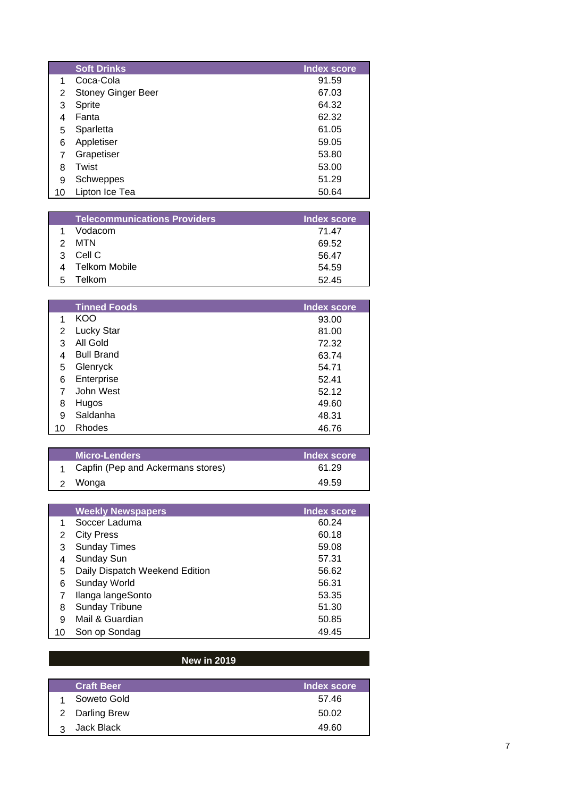|    | <b>Soft Drinks</b>        | <b>Index score</b> |
|----|---------------------------|--------------------|
| 1  | Coca-Cola                 | 91.59              |
| 2  | <b>Stoney Ginger Beer</b> | 67.03              |
| 3  | Sprite                    | 64.32              |
| 4  | Fanta                     | 62.32              |
| 5  | Sparletta                 | 61.05              |
| 6  | Appletiser                | 59.05              |
|    | Grapetiser                | 53.80              |
| 8  | Twist                     | 53.00              |
| 9  | Schweppes                 | 51.29              |
| 10 | Lipton Ice Tea            | 50.64              |

| <b>Telecommunications Providers</b> | Index score |
|-------------------------------------|-------------|
| Vodacom                             | 71.47       |
| MTN                                 | 69.52       |
| Cell C                              | 56.47       |
| Telkom Mobile                       | 54.59       |
| Telkom                              | 52.45       |
|                                     |             |

|    | <b>Tinned Foods</b> | <b>Index score</b> |
|----|---------------------|--------------------|
| 1  | KOO                 | 93.00              |
| 2  | <b>Lucky Star</b>   | 81.00              |
| 3  | All Gold            | 72.32              |
| 4  | <b>Bull Brand</b>   | 63.74              |
| 5  | Glenryck            | 54.71              |
| 6  | Enterprise          | 52.41              |
| 7  | John West           | 52.12              |
| 8  | Hugos               | 49.60              |
| 9  | Saldanha            | 48.31              |
| 10 | <b>Rhodes</b>       | 46.76              |

| <b>Micro-Lenders</b>              | Index score |
|-----------------------------------|-------------|
| Capfin (Pep and Ackermans stores) | 61.29       |
| Wonga                             | 49.59       |

|    | <b>Weekly Newspapers</b>       | <b>Index score</b> |
|----|--------------------------------|--------------------|
| 1  | Soccer Laduma                  | 60.24              |
| 2  | <b>City Press</b>              | 60.18              |
| 3  | <b>Sunday Times</b>            | 59.08              |
| 4  | Sunday Sun                     | 57.31              |
| 5  | Daily Dispatch Weekend Edition | 56.62              |
| 6  | Sunday World                   | 56.31              |
|    | Ilanga langeSonto              | 53.35              |
| 8  | <b>Sunday Tribune</b>          | 51.30              |
| 9  | Mail & Guardian                | 50.85              |
| 10 | Son op Sondag                  | 49.45              |

## **New in 2019**

| <b>Craft Beer</b> | Index score |
|-------------------|-------------|
| Soweto Gold       | 57.46       |
| 2 Darling Brew    | 50.02       |
| Jack Black        | 49.60       |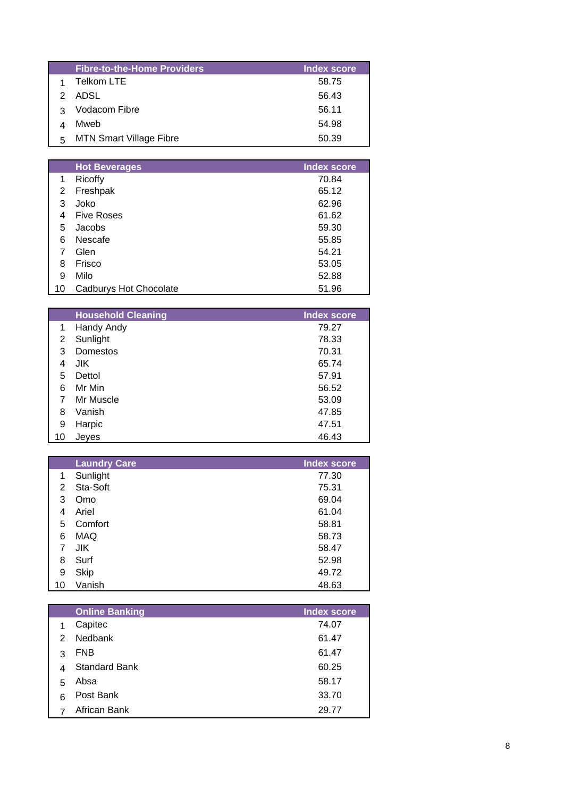|    | <b>Fibre-to-the-Home Providers</b> | <b>Index score</b> |
|----|------------------------------------|--------------------|
|    | Telkom LTE                         | 58.75              |
| 2. | ADSL                               | 56.43              |
|    | Vodacom Fibre                      | 56.11              |
|    | Mweb                               | 54.98              |
|    | <b>MTN Smart Village Fibre</b>     | 50.39              |

|    | <b>Hot Beverages</b>   | <b>Index score</b> |
|----|------------------------|--------------------|
| 1  | Ricoffy                | 70.84              |
| 2  | Freshpak               | 65.12              |
| 3  | Joko                   | 62.96              |
| 4  | <b>Five Roses</b>      | 61.62              |
| 5  | Jacobs                 | 59.30              |
| 6  | Nescafe                | 55.85              |
| 7  | Glen                   | 54.21              |
| 8  | Frisco                 | 53.05              |
| 9  | Milo                   | 52.88              |
| 10 | Cadburys Hot Chocolate | 51.96              |

|    | <b>Household Cleaning</b> | <b>Index score</b> |
|----|---------------------------|--------------------|
| 1  | Handy Andy                | 79.27              |
| 2  | Sunlight                  | 78.33              |
| 3  | Domestos                  | 70.31              |
| 4  | JIK.                      | 65.74              |
| 5  | Dettol                    | 57.91              |
| 6  | Mr Min                    | 56.52              |
| 7  | Mr Muscle                 | 53.09              |
| 8  | Vanish                    | 47.85              |
| 9  | Harpic                    | 47.51              |
| 10 | Jeves                     | 46.43              |

|    | <b>Laundry Care</b> | <b>Index score</b> |
|----|---------------------|--------------------|
| 1  | Sunlight            | 77.30              |
| 2  | Sta-Soft            | 75.31              |
| 3  | Omo                 | 69.04              |
| 4  | Ariel               | 61.04              |
| 5  | Comfort             | 58.81              |
| 6  | <b>MAQ</b>          | 58.73              |
|    | JIK.                | 58.47              |
| 8  | Surf                | 52.98              |
| 9  | <b>Skip</b>         | 49.72              |
| 10 | Vanish              | 48.63              |

|   | <b>Online Banking</b> | <b>Index score</b> |
|---|-----------------------|--------------------|
| 1 | Capitec               | 74.07              |
| 2 | Nedbank               | 61.47              |
| 3 | <b>FNB</b>            | 61.47              |
| 4 | <b>Standard Bank</b>  | 60.25              |
| 5 | Absa                  | 58.17              |
| 6 | Post Bank             | 33.70              |
|   | African Bank          | 29.77              |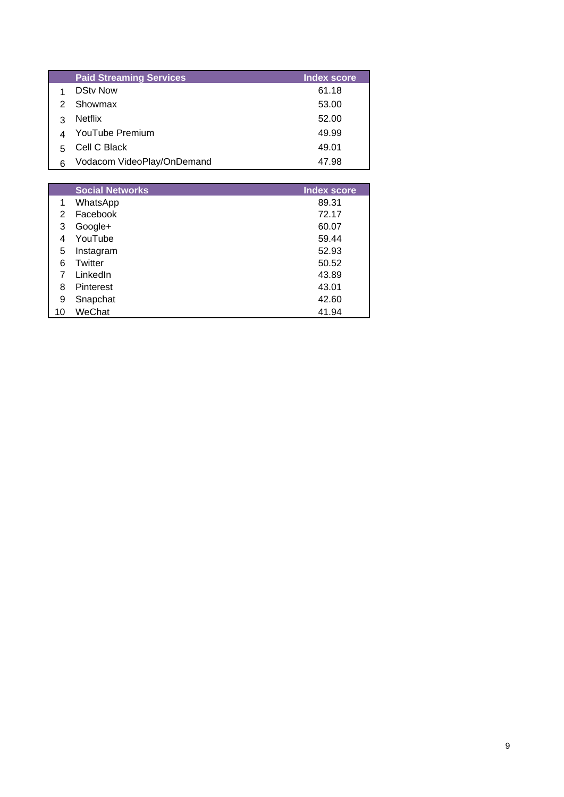|    | <b>Paid Streaming Services</b> | <b>Index score</b> |
|----|--------------------------------|--------------------|
|    | <b>DSty Now</b>                | 61.18              |
|    | Showmax                        | 53.00              |
| ว  | <b>Netflix</b>                 | 52.00              |
|    | YouTube Premium                | 49.99              |
| г, | Cell C Black                   | 49.01              |
| 6  | Vodacom VideoPlay/OnDemand     | 47.98              |

|    | <b>Social Networks</b> | <b>Index score</b> |
|----|------------------------|--------------------|
| 1  | WhatsApp               | 89.31              |
| 2  | Facebook               | 72.17              |
| 3  | Google+                | 60.07              |
| 4  | YouTube                | 59.44              |
| 5  | Instagram              | 52.93              |
| 6  | Twitter                | 50.52              |
|    | LinkedIn               | 43.89              |
| 8  | Pinterest              | 43.01              |
| 9  | Snapchat               | 42.60              |
| 10 | WeChat                 | 41.94              |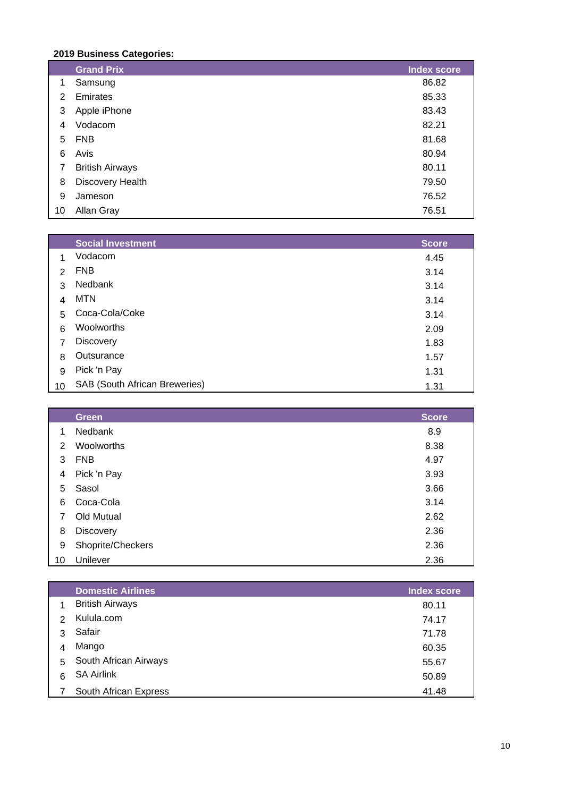## **2019 Business Categories:**

|    | <b>Grand Prix</b>      | <b>Index score</b> |
|----|------------------------|--------------------|
| 1  | Samsung                | 86.82              |
| 2  | Emirates               | 85.33              |
| 3  | Apple iPhone           | 83.43              |
| 4  | Vodacom                | 82.21              |
| 5  | <b>FNB</b>             | 81.68              |
| 6  | Avis                   | 80.94              |
| 7  | <b>British Airways</b> | 80.11              |
| 8  | Discovery Health       | 79.50              |
| 9  | Jameson                | 76.52              |
| 10 | Allan Gray             | 76.51              |

|               | <b>Social Investment</b>             | <b>Score</b> |
|---------------|--------------------------------------|--------------|
| 1             | Vodacom                              | 4.45         |
| $\mathcal{P}$ | <b>FNB</b>                           | 3.14         |
| 3             | <b>Nedbank</b>                       | 3.14         |
| 4             | <b>MTN</b>                           | 3.14         |
| 5             | Coca-Cola/Coke                       | 3.14         |
| 6             | Woolworths                           | 2.09         |
| 7             | <b>Discovery</b>                     | 1.83         |
| 8             | Outsurance                           | 1.57         |
| 9             | Pick 'n Pay                          | 1.31         |
| 10            | <b>SAB (South African Breweries)</b> | 1.31         |

|    | <b>Green</b>      | <b>Score</b> |
|----|-------------------|--------------|
| 1  | Nedbank           | 8.9          |
| 2  | Woolworths        | 8.38         |
| 3  | <b>FNB</b>        | 4.97         |
| 4  | Pick 'n Pay       | 3.93         |
| 5  | Sasol             | 3.66         |
| 6  | Coca-Cola         | 3.14         |
| 7  | Old Mutual        | 2.62         |
| 8  | <b>Discovery</b>  | 2.36         |
| 9  | Shoprite/Checkers | 2.36         |
| 10 | Unilever          | 2.36         |

|               | <b>Domestic Airlines</b> | Index score |
|---------------|--------------------------|-------------|
|               | <b>British Airways</b>   | 80.11       |
| $\mathcal{P}$ | Kulula.com               | 74.17       |
| 3             | Safair                   | 71.78       |
| 4             | Mango                    | 60.35       |
| 5.            | South African Airways    | 55.67       |
| 6             | <b>SA Airlink</b>        | 50.89       |
|               | South African Express    | 41.48       |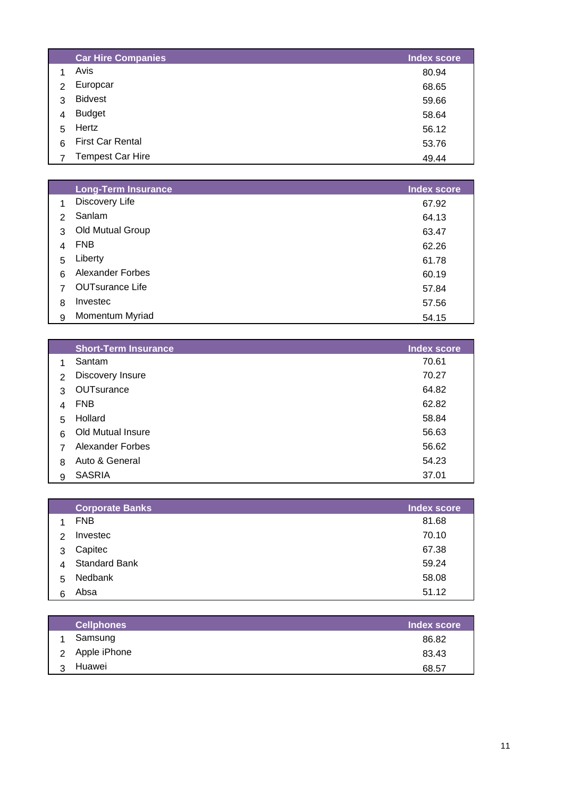|               | <b>Car Hire Companies</b> | <b>Index score</b> |
|---------------|---------------------------|--------------------|
|               | Avis                      | 80.94              |
| $\mathcal{P}$ | Europcar                  | 68.65              |
| 3             | <b>Bidvest</b>            | 59.66              |
| 4             | <b>Budget</b>             | 58.64              |
| 5             | Hertz                     | 56.12              |
| 6             | <b>First Car Rental</b>   | 53.76              |
|               | <b>Tempest Car Hire</b>   | 49.44              |

|               | <b>Long-Term Insurance</b> | <b>Index score</b> |
|---------------|----------------------------|--------------------|
|               | Discovery Life             | 67.92              |
| $\mathcal{P}$ | Sanlam                     | 64.13              |
| 3             | Old Mutual Group           | 63.47              |
| 4             | <b>FNB</b>                 | 62.26              |
| 5             | Liberty                    | 61.78              |
| 6             | <b>Alexander Forbes</b>    | 60.19              |
| 7             | <b>OUTsurance Life</b>     | 57.84              |
| 8             | Investec                   | 57.56              |
| 9             | Momentum Myriad            | 54.15              |

|               | <b>Short-Term Insurance</b> | <b>Index score</b> |
|---------------|-----------------------------|--------------------|
| 1             | Santam                      | 70.61              |
| $\mathcal{P}$ | Discovery Insure            | 70.27              |
| 3             | OUTsurance                  | 64.82              |
| 4             | <b>FNB</b>                  | 62.82              |
| 5             | Hollard                     | 58.84              |
| 6             | <b>Old Mutual Insure</b>    | 56.63              |
| 7             | <b>Alexander Forbes</b>     | 56.62              |
| 8             | Auto & General              | 54.23              |
| 9             | <b>SASRIA</b>               | 37.01              |

|               | <b>Corporate Banks</b> | <b>Index score</b> |
|---------------|------------------------|--------------------|
|               | <b>FNB</b>             | 81.68              |
| $\mathcal{P}$ | Investec               | 70.10              |
| 3             | Capitec                | 67.38              |
| 4             | <b>Standard Bank</b>   | 59.24              |
| 5             | Nedbank                | 58.08              |
| 6             | Absa                   | 51.12              |

|   | <b>Cellphones</b> | Index score |
|---|-------------------|-------------|
|   | Samsung           | 86.82       |
|   | 2 Apple iPhone    | 83.43       |
| 3 | Huawei            | 68.57       |
|   |                   |             |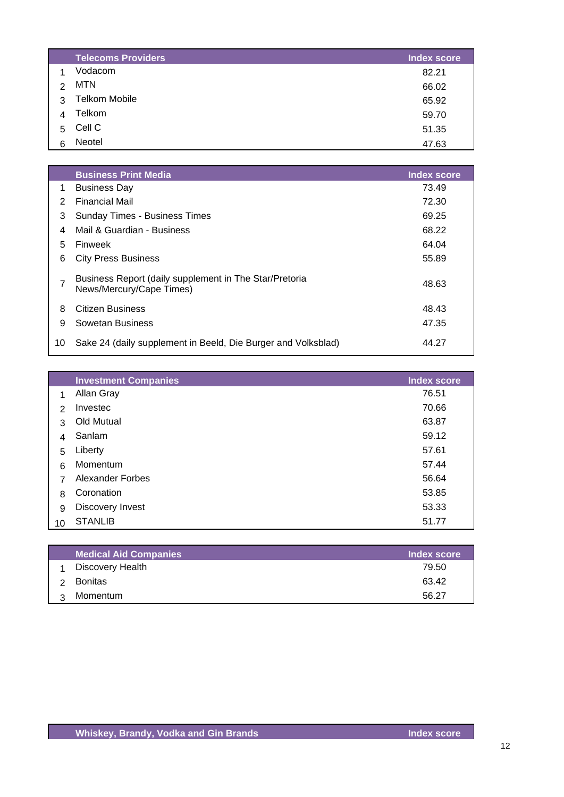|   | <b>Telecoms Providers</b> | <b>Index score</b> |
|---|---------------------------|--------------------|
|   | Vodacom                   | 82.21              |
| 2 | <b>MTN</b>                | 66.02              |
| 3 | <b>Telkom Mobile</b>      | 65.92              |
| 4 | Telkom                    | 59.70              |
| 5 | Cell C                    | 51.35              |
| 6 | Neotel                    | 47.63              |

|               | <b>Business Print Media</b>                                                        | Index score |
|---------------|------------------------------------------------------------------------------------|-------------|
| 1             | <b>Business Day</b>                                                                | 73.49       |
| $\mathcal{P}$ | <b>Financial Mail</b>                                                              | 72.30       |
| 3             | <b>Sunday Times - Business Times</b>                                               | 69.25       |
| 4             | Mail & Guardian - Business                                                         | 68.22       |
| 5             | Finweek                                                                            | 64.04       |
| 6             | <b>City Press Business</b>                                                         | 55.89       |
| 7             | Business Report (daily supplement in The Star/Pretoria<br>News/Mercury/Cape Times) | 48.63       |
| 8             | Citizen Business                                                                   | 48.43       |
| 9             | Sowetan Business                                                                   | 47.35       |
| 10            | Sake 24 (daily supplement in Beeld, Die Burger and Volksblad)                      | 44.27       |

|                | <b>Investment Companies</b> | <b>Index score</b> |
|----------------|-----------------------------|--------------------|
| 1              | Allan Gray                  | 76.51              |
| $\mathcal{P}$  | Investec                    | 70.66              |
| 3              | Old Mutual                  | 63.87              |
| 4              | Sanlam                      | 59.12              |
| 5              | Liberty                     | 57.61              |
| 6              | Momentum                    | 57.44              |
| $\overline{7}$ | Alexander Forbes            | 56.64              |
| 8              | Coronation                  | 53.85              |
| 9              | Discovery Invest            | 53.33              |
| 10             | <b>STANLIB</b>              | 51.77              |

| <b>Medical Aid Companies</b> | Index score |
|------------------------------|-------------|
| Discovery Health             | 79.50       |
| Bonitas                      | 63.42       |
| Momentum                     | 56.27       |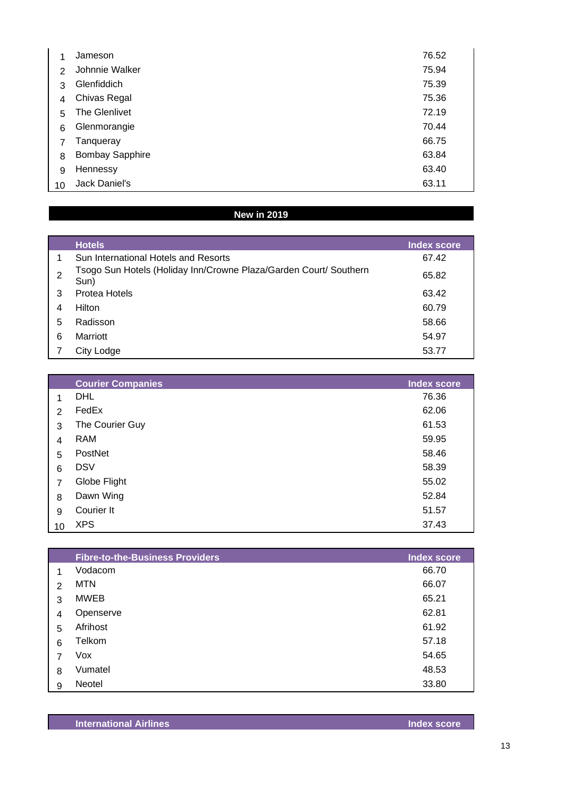|                | Jameson                | 76.52 |
|----------------|------------------------|-------|
| $\mathcal{P}$  | Johnnie Walker         | 75.94 |
| 3              | Glenfiddich            | 75.39 |
| 4              | Chivas Regal           | 75.36 |
| 5              | The Glenlivet          | 72.19 |
| 6              | Glenmorangie           | 70.44 |
| $\overline{7}$ | Tanqueray              | 66.75 |
| 8              | <b>Bombay Sapphire</b> | 63.84 |
| 9              | Hennessy               | 63.40 |
| 10             | Jack Daniel's          | 63.11 |

## **New in 2019**

|   | <b>Hotels</b>                                                             | <b>Index score</b> |
|---|---------------------------------------------------------------------------|--------------------|
| 1 | Sun International Hotels and Resorts                                      | 67.42              |
| 2 | Tsogo Sun Hotels (Holiday Inn/Crowne Plaza/Garden Court/ Southern<br>Sun) | 65.82              |
| 3 | Protea Hotels                                                             | 63.42              |
| 4 | Hilton                                                                    | 60.79              |
| 5 | Radisson                                                                  | 58.66              |
| 6 | Marriott                                                                  | 54.97              |
|   | City Lodge                                                                | 53.77              |

|    | <b>Courier Companies</b> | <b>Index score</b> |
|----|--------------------------|--------------------|
| 1  | <b>DHL</b>               | 76.36              |
| 2  | FedEx                    | 62.06              |
| 3  | The Courier Guy          | 61.53              |
| 4  | <b>RAM</b>               | 59.95              |
| 5  | PostNet                  | 58.46              |
| 6  | <b>DSV</b>               | 58.39              |
| 7  | Globe Flight             | 55.02              |
| 8  | Dawn Wing                | 52.84              |
| 9  | Courier It               | 51.57              |
| 10 | <b>XPS</b>               | 37.43              |

|   | <b>Fibre-to-the-Business Providers</b> | <b>Index score</b> |
|---|----------------------------------------|--------------------|
| 1 | Vodacom                                | 66.70              |
| 2 | MTN                                    | 66.07              |
| 3 | <b>MWEB</b>                            | 65.21              |
| 4 | Openserve                              | 62.81              |
| 5 | Afrihost                               | 61.92              |
| 6 | Telkom                                 | 57.18              |
| 7 | Vox                                    | 54.65              |
| 8 | Vumatel                                | 48.53              |
| 9 | Neotel                                 | 33.80              |